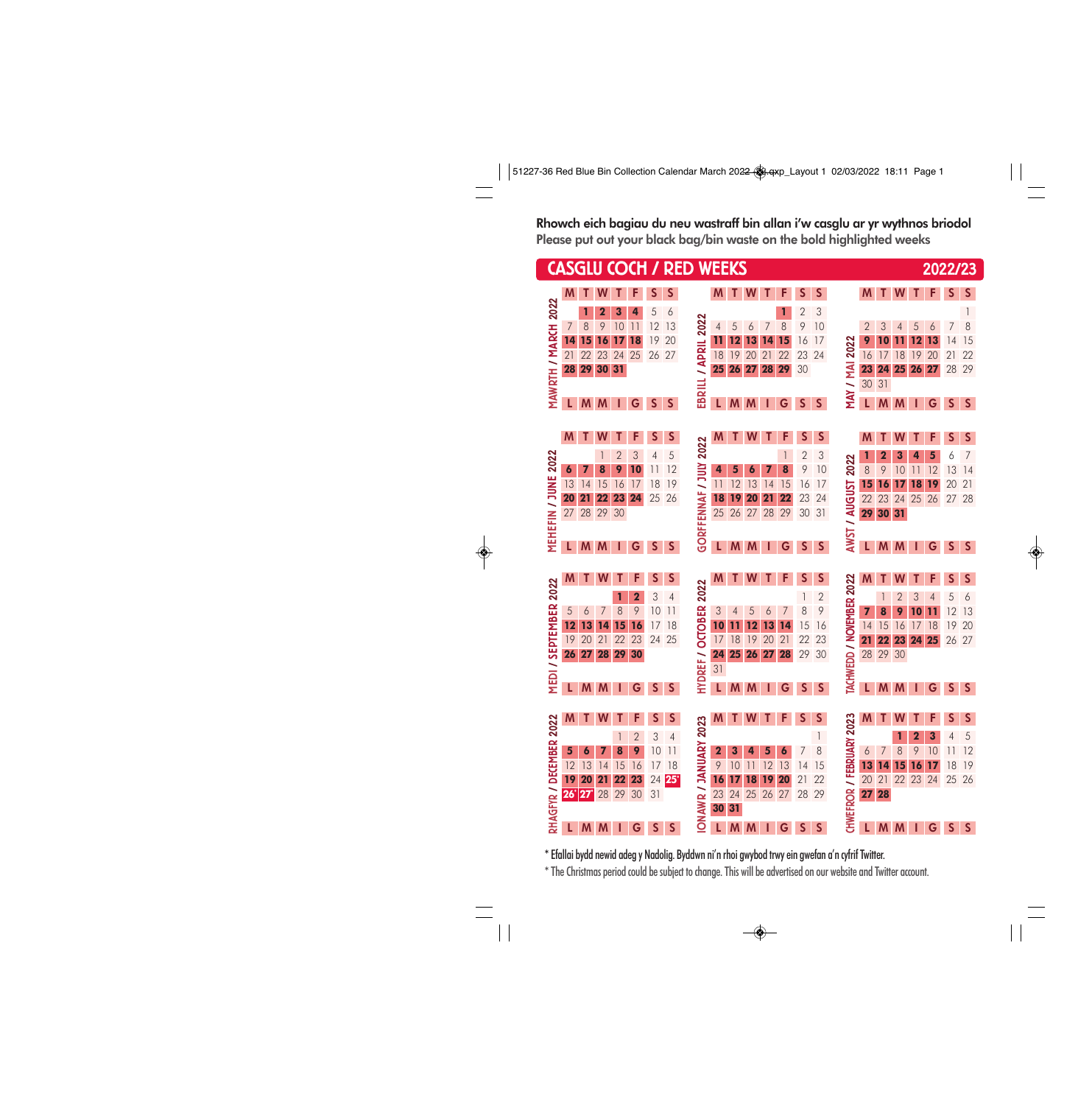Rhowch eich bagiau du neu wastraff bin allan i'w casglu ar yr wythnos briodol Please put out your black bag/bin waste on the bold highlighted weeks

|                     |                |    |      |    |                |         |            | <b>CASGLU COCH / RED WEEKS</b>                                                                                 |                          |    |         |    |                      |                |                           |                          |    |                 |           |    | 2022/23 |         |         |
|---------------------|----------------|----|------|----|----------------|---------|------------|----------------------------------------------------------------------------------------------------------------|--------------------------|----|---------|----|----------------------|----------------|---------------------------|--------------------------|----|-----------------|-----------|----|---------|---------|---------|
|                     |                |    |      |    |                | S       | S          |                                                                                                                | M                        | Т  | W       | Τ  |                      | S              | S                         |                          | M  | т               | W         | Т  |         | S       | S       |
| MAWRTH / MARCH 2022 |                | 1  | 2    | З  | 4              | 5       | 6          |                                                                                                                |                          |    |         |    | 1                    | $\overline{2}$ | 3                         |                          |    |                 |           |    |         |         | 1       |
|                     | $\overline{7}$ | 8  | 9    | 10 | 11             | 12      | 13         |                                                                                                                | $\overline{4}$           | 5  | 6       |    | 8                    | 9              | 10                        |                          | 2  | 3               | 4         | 5  | 6       | 7       | 8       |
|                     | 14             | 15 | 16   | 17 | 18             | 19      | 20         |                                                                                                                | 11                       | 12 | 13      |    | 15                   | 16             | 17                        | 2022                     | 9  | 10              |           |    | 13      | 14      | 15      |
|                     | 21             | 22 | 23   | 24 | 25             | 26      | 27         |                                                                                                                | 18                       | 19 | 20      | 21 | 22                   | 23             | 24                        |                          | 16 | 17              | 18        | 19 | 20      | 21      | 22      |
|                     | 28             | 29 | 30   | 31 |                |         |            |                                                                                                                | 25                       | 26 | 27      | 28 | 29                   | 30             |                           |                          | 23 | 24              | 25        | 26 | 27      | 28      | 29      |
|                     |                |    |      |    |                |         |            | EBRILL / APRIL 2022                                                                                            |                          |    |         |    |                      |                |                           | MAY / MAI                | 30 | 31              |           |    |         |         |         |
|                     | L              | M. |      |    | G              | S       | S          |                                                                                                                | L                        | M  |         |    | G                    | S              | $S_{\parallel}$           |                          |    | M               | M         |    | G       | S       | S       |
|                     |                |    |      |    |                |         |            |                                                                                                                |                          |    |         |    |                      |                |                           |                          |    |                 |           |    |         |         |         |
|                     |                |    |      |    |                | S       | S          |                                                                                                                | M                        |    | W       |    |                      | S              | S                         |                          |    |                 |           |    |         | S       | S       |
|                     |                |    |      | 2  | 3              | 4       | 5          | 2022                                                                                                           |                          |    |         |    |                      | 2              | $\ensuremath{\mathsf{3}}$ |                          | 1  | 2               | 3         | 4  | 5       | 6       | 7       |
|                     | 6              | 7  | 8    | 9  | 10             |         | 12         | <b>Annc/</b>                                                                                                   | 4                        | 5  | 6       |    | 8                    | 9              | 10                        | 2022                     | 8  | 9               | 10        |    | 12      | 13      | 14      |
|                     | 13             | 14 | 15   | 16 | 17             | 18      | 19         |                                                                                                                | $\overline{\phantom{a}}$ | 12 | 13      | 14 | 15                   | 16             | 17                        |                          | 15 | 16              |           | 18 | 19      | 20      | 21      |
|                     | 20             | 21 | 22   | 23 | 24             | 25      | 26         |                                                                                                                | 18                       | 19 | 20      |    | 22                   | 23             | 24                        | <b>AUGUST</b>            | 22 | 23              | 24        | 25 | 26      | 27      | 28      |
|                     | 27             | 28 | 29   | 30 |                |         |            |                                                                                                                | 25                       | 26 | 27      | 28 | 29                   | 30             | 31                        |                          | 29 | 30              | 31        |    |         |         |         |
| MEHEFIN / JUNE 2022 |                |    |      |    |                |         |            | <b>GORFFENNAF</b>                                                                                              |                          |    |         |    |                      |                |                           | <b>AWST</b>              |    |                 |           |    |         |         |         |
|                     | L              |    |      |    | G              | S       | S          |                                                                                                                | L                        |    |         |    | G                    | S              | S                         |                          |    |                 |           |    | G       | S       | S       |
|                     | M              |    |      |    |                |         | S          |                                                                                                                | M                        |    |         |    |                      |                | S                         |                          |    |                 |           |    |         | S       | S       |
| 2022                |                |    |      |    |                |         |            |                                                                                                                |                          |    |         |    |                      |                |                           |                          |    |                 |           |    |         |         |         |
|                     | 5              | 6  | 7    | 8  | 2<br>9         | 3<br>10 | 4<br>11    |                                                                                                                | 3                        |    | 5       |    |                      | 8              | $\overline{2}$<br>9       |                          | 7  | 8               | 2<br>9    | 3  |         | 5<br>12 | 6<br>13 |
|                     | 12             | 13 |      | 15 | 16             | 17      | 18         |                                                                                                                | 10                       |    |         |    |                      | 15             | 16                        |                          | 14 | 15              | 16        |    | 18      | 19      | 20      |
|                     | 19             | 20 | 21   | 22 | 23             | 24      | 25         |                                                                                                                | 17                       | 18 | 19      | 20 | 21                   | 22             | 23                        |                          | 21 | $\overline{22}$ | 23        | 24 | 25      | 26      | 27      |
| <b>SEPTEMBER</b>    | 26             | 27 | 28   | 29 | 30             |         |            |                                                                                                                | 24                       | 25 | 26      |    | 28                   | 29             | 30                        |                          | 28 | 29              | 30        |    |         |         |         |
|                     |                |    |      |    |                |         |            | HYDREF / OCTOBER 2022                                                                                          | 31                       |    |         |    |                      |                |                           | IACHWEDD / NOVEMBER 2022 |    |                 |           |    |         |         |         |
| MEDI /              |                |    | M    |    | G              | S       | S          |                                                                                                                |                          | M  |         |    | G                    | S              | S                         |                          |    |                 |           |    | G       | S       | S       |
|                     |                |    |      |    |                |         |            |                                                                                                                |                          |    |         |    |                      |                |                           |                          |    |                 |           |    |         |         |         |
| 2022                | M              |    |      |    |                |         | S          |                                                                                                                | M                        |    |         |    |                      | S              | S                         | FEBRUARY 2023            |    |                 |           |    |         | S       | S       |
|                     |                |    |      |    | $\overline{2}$ | 3       | 4          |                                                                                                                |                          |    |         |    |                      |                | 1                         |                          |    |                 | 1         | 2  | 3       | 4       | 5       |
|                     | 5              | 6  | 7    | 8  | 9              | 10      | 11         |                                                                                                                | $\mathbf 2$              | 3  | 4       | 5  | 6                    | 7              | 8                         |                          | 6  | 7               | 8         | 9  | 10      | 11      | 12      |
| <b>DECEMBER</b>     | 12             | 13 |      | 15 | 16             |         | 18         | <b>JANUARY 2023</b>                                                                                            | 9                        | 10 |         | 12 | 13                   | 14             | 15                        |                          | 13 |                 |           |    |         | 18      | 19      |
|                     | 19             | 20 | 21   | 22 | 23             | 24      | $25^\circ$ |                                                                                                                | 16                       | 17 | 18      | 19 | 20                   | 21             | 22                        |                          | 20 | 21              | 22        | 23 | 24      | 25      | 26      |
| RHAGFYR.            |                |    |      |    | 26 27 28 29 30 | 31      |            | <b>IONAWR</b>                                                                                                  | 30                       | 31 |         |    | 23 24 25 26 27 28 29 |                |                           | <b>CHWEFROR</b>          |    | 27 28           |           |    |         |         |         |
|                     |                |    |      |    |                |         |            |                                                                                                                |                          |    |         |    |                      |                |                           |                          |    |                 |           |    |         |         |         |
|                     | L.             |    | MMI. |    | G.             |         | S S        |                                                                                                                |                          |    | L M M I |    | G                    |                | S S                       |                          |    |                 | L M M I G |    |         | S.      | S.      |
|                     |                |    |      |    |                |         |            | * Efallai bydd newid adeg y Nadolig. Byddwn ni'n rhoi gwybod trwy ein gwefan a'n cyfrif Twitter.               |                          |    |         |    |                      |                |                           |                          |    |                 |           |    |         |         |         |
|                     |                |    |      |    |                |         |            | * The Christmas period could be subject to change. This will be advertised on our website and Twitter account. |                          |    |         |    |                      |                |                           |                          |    |                 |           |    |         |         |         |